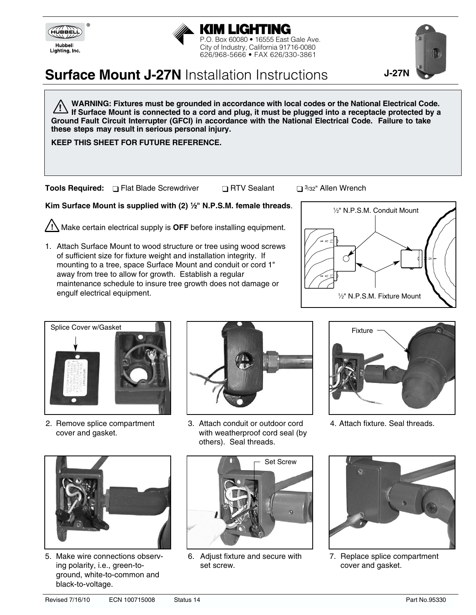



# **Surface Mount J-27N** Installation Instructions

**WARNING: Fixtures must be grounded in accordance with local codes or the National Electrical Code.**  If Surface Mount is connected to a cord and plug, it must be plugged into a receptacle protected by a **Ground Fault Circuit Interrupter (GFCI) in accordance with the National Electrical Code. Failure to take these steps may result in serious personal injury. !**

**KEEP THIS SHEET FOR FUTURE REFERENCE.**

**Tools Required:** □ Flat Blade Screwdriver □ RTV Sealant □ 3/32" Allen Wrench

**Kim Surface Mount is supplied with (2) <sup>1</sup>/<sub>2</sub>" N.P.S.M. female threads.** 

Make certain electrical supply is **OFF** before installing equipment. **!**

1. Attach Surface Mount to wood structure or tree using wood screws of sufficient size for fixture weight and installation integrity. If mounting to a tree, space Surface Mount and conduit or cord 1" away from tree to allow for growth. Establish a regular maintenance schedule to insure tree growth does not damage or engulf electrical equipment.



**J-27N**



2. Remove splice compartment cover and gasket.



3. Attach conduit or outdoor cord with weatherproof cord seal (by others). Seal threads.



4. Attach fixture. Seal threads.



5. Make wire connections observing polarity, i.e., green-toground, white-to-common and black-to-voltage.



6. Adjust fixture and secure with set screw.



7. Replace splice compartment cover and gasket.